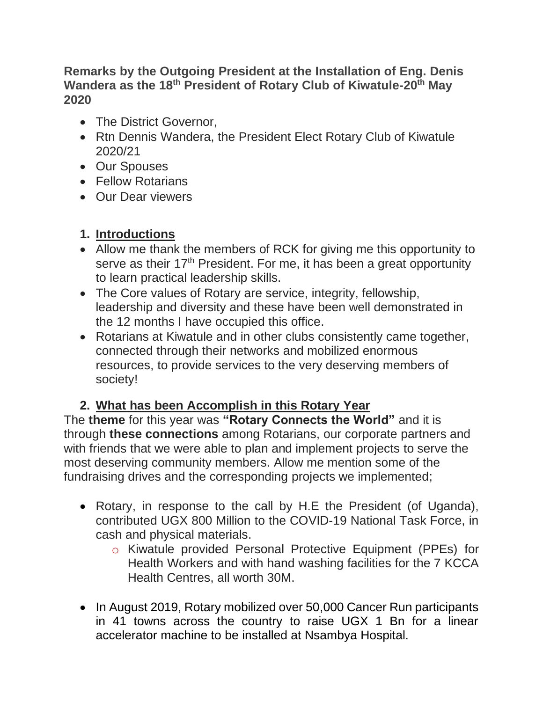## **Remarks by the Outgoing President at the Installation of Eng. Denis Wandera as the 18th President of Rotary Club of Kiwatule-20th May 2020**

- The District Governor,
- Rtn Dennis Wandera, the President Elect Rotary Club of Kiwatule 2020/21
- Our Spouses
- Fellow Rotarians
- Our Dear viewers

## **1. Introductions**

- Allow me thank the members of RCK for giving me this opportunity to serve as their 17<sup>th</sup> President. For me, it has been a great opportunity to learn practical leadership skills.
- The Core values of Rotary are service, integrity, fellowship, leadership and diversity and these have been well demonstrated in the 12 months I have occupied this office.
- Rotarians at Kiwatule and in other clubs consistently came together, connected through their networks and mobilized enormous resources, to provide services to the very deserving members of society!

## **2. What has been Accomplish in this Rotary Year**

The **theme** for this year was **"Rotary Connects the World"** and it is through **these connections** among Rotarians, our corporate partners and with friends that we were able to plan and implement projects to serve the most deserving community members. Allow me mention some of the fundraising drives and the corresponding projects we implemented;

- Rotary, in response to the call by H.E the President (of Uganda), contributed UGX 800 Million to the COVID-19 National Task Force, in cash and physical materials.
	- o Kiwatule provided Personal Protective Equipment (PPEs) for Health Workers and with hand washing facilities for the 7 KCCA Health Centres, all worth 30M.
- In August 2019, Rotary mobilized over 50,000 Cancer Run participants in 41 towns across the country to raise UGX 1 Bn for a linear accelerator machine to be installed at Nsambya Hospital.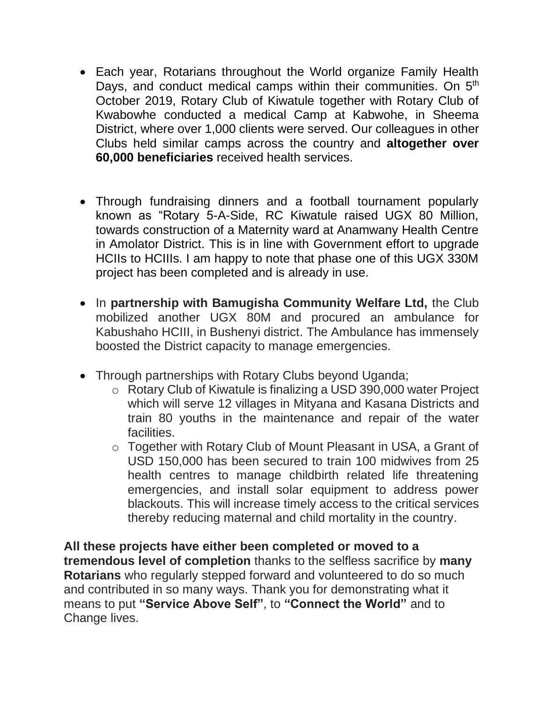- Each year, Rotarians throughout the World organize Family Health Days, and conduct medical camps within their communities. On 5<sup>th</sup> October 2019, Rotary Club of Kiwatule together with Rotary Club of Kwabowhe conducted a medical Camp at Kabwohe, in Sheema District, where over 1,000 clients were served. Our colleagues in other Clubs held similar camps across the country and **altogether over 60,000 beneficiaries** received health services.
- Through fundraising dinners and a football tournament popularly known as "Rotary 5-A-Side, RC Kiwatule raised UGX 80 Million, towards construction of a Maternity ward at Anamwany Health Centre in Amolator District. This is in line with Government effort to upgrade HCIIs to HCIIIs. I am happy to note that phase one of this UGX 330M project has been completed and is already in use.
- In **partnership with Bamugisha Community Welfare Ltd,** the Club mobilized another UGX 80M and procured an ambulance for Kabushaho HCIII, in Bushenyi district. The Ambulance has immensely boosted the District capacity to manage emergencies.
- Through partnerships with Rotary Clubs beyond Uganda;
	- o Rotary Club of Kiwatule is finalizing a USD 390,000 water Project which will serve 12 villages in Mityana and Kasana Districts and train 80 youths in the maintenance and repair of the water facilities.
	- o Together with Rotary Club of Mount Pleasant in USA, a Grant of USD 150,000 has been secured to train 100 midwives from 25 health centres to manage childbirth related life threatening emergencies, and install solar equipment to address power blackouts. This will increase timely access to the critical services thereby reducing maternal and child mortality in the country.

**All these projects have either been completed or moved to a tremendous level of completion** thanks to the selfless sacrifice by **many Rotarians** who regularly stepped forward and volunteered to do so much and contributed in so many ways. Thank you for demonstrating what it means to put **"Service Above Self"**, to **"Connect the World"** and to Change lives.